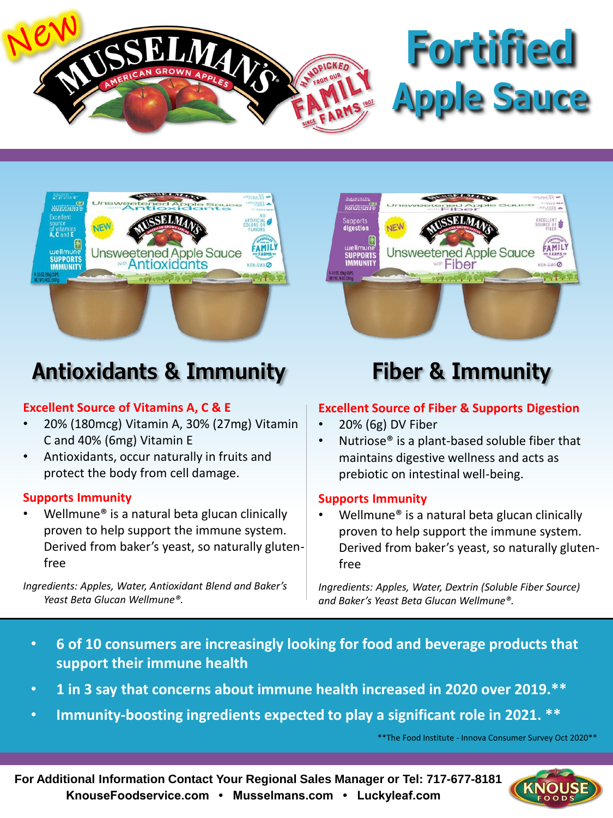

# **Fortified Apple Sauce**



## **Antioxidants & Immunity Fiber & Immunity**

### **Excellent Source of Vitamins A, C & E**

- 20% (180mcg) Vitamin A, 30% (27mg) Vitamin C and 40% (6mg) Vitamin E
- Antioxidants, occur naturally in fruits and protect the body from cell damage.

#### **Supports Immunity**

Wellmune<sup>®</sup> is a natural beta glucan clinically proven to help support the immune system. Derived from baker's yeast, so naturally glutenfree

*Ingredients: Apples, Water, Antioxidant Blend and Baker's Yeast Beta Glucan Wellmune®.*



#### **Excellent Source of Fiber & Supports Digestion**

- 20% (6g) DV Fiber
- Nutriose<sup>®</sup> is a plant-based soluble fiber that maintains digestive wellness and acts as prebiotic on intestinal well-being.

#### **Supports Immunity**

Wellmune<sup>®</sup> is a natural beta glucan clinically proven to help support the immune system. Derived from baker's yeast, so naturally glutenfree

*Ingredients: Apples, Water, Dextrin (Soluble Fiber Source) and Baker's Yeast Beta Glucan Wellmune®.*

- **6 of 10 consumers are increasingly looking for food and beverage products that support their immune health**
- **1 in 3 say that concerns about immune health increased in 2020 over 2019.\*\***
- **Immunity-boosting ingredients expected to play a significant role in 2021. \*\***

\*\*The Food Institute - Innova Consumer Survey Oct 2020\*\*